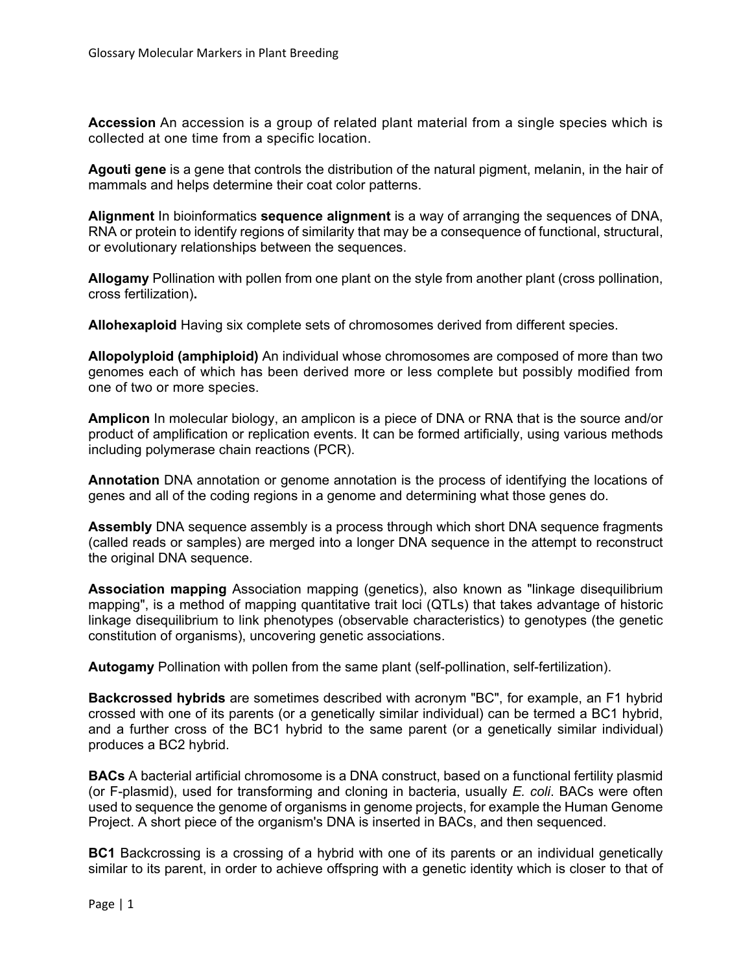**Accession** An accession is a group of related plant material from a single species which is collected at one time from a specific location.

**Agouti gene** is a gene that controls the distribution of the natural pigment, melanin, in the hair of mammals and helps determine their coat color patterns.

**Alignment** In bioinformatics **sequence alignment** is a way of arranging the sequences of DNA, RNA or protein to identify regions of similarity that may be a consequence of functional[, structural,](https://en.wikipedia.org/wiki/Structural_biology) or [evolutionary](https://en.wikipedia.org/wiki/Evolution) relationships between the sequences.

**Allogamy** Pollination with pollen from one plant on the style from another plant (cross pollination, cross fertilization)**.**

**Allohexaploid** Having [six](https://en.wiktionary.org/wiki/six) complete sets of [chromosomes](https://en.wiktionary.org/wiki/chromosome) derived from different [species.](https://en.wiktionary.org/wiki/species)

**Allopolyploid (amphiploid)** An individual whose chromosomes are composed of more than two genomes each of which has been derived more or less complete but possibly modified from one of two or more species.

**Amplicon** In [molecular biology,](https://en.wikipedia.org/wiki/Molecular_biology) an amplicon is a piece of [DNA](https://en.wikipedia.org/wiki/DNA) or [RNA](https://en.wikipedia.org/wiki/RNA) that is the source and/or product of [amplification](https://en.wikipedia.org/wiki/Amplification_(molecular_biology)) or [replication](https://en.wikipedia.org/wiki/DNA_replication) events. It can be formed artificially, using various methods including [polymerase chain reactions](https://en.wikipedia.org/wiki/Polymerase_chain_reaction) (PCR).

**Annotation** DNA annotation or genome annotation is the process of identifying the locations of [genes](https://en.wikipedia.org/wiki/Gene) and all of the [coding regions](https://en.wikipedia.org/wiki/Coding_region) in a [genome](https://en.wikipedia.org/wiki/Genome) and determining what those genes do.

**Assembly** DNA sequence assembly is a process through which short DNA sequence fragments (called reads or samples) are merged into a longer DNA sequence in the attempt to reconstruct the original DNA sequence.

**Association mapping** Association mapping (genetics), also known as ["linkage disequilibrium](https://en.wikipedia.org/wiki/Linkage_disequilibrium) mapping", is a method of mapping [quantitative trait loci](https://en.wikipedia.org/wiki/Quantitative_trait_locus) (QTLs) that takes advantage of historic linkage disequilibrium to link [phenotypes](https://en.wikipedia.org/wiki/Phenotype) (observable characteristics) to [genotypes](https://en.wikipedia.org/wiki/Genotype) (the genetic constitution of organisms), uncovering [genetic associations.](https://en.wikipedia.org/wiki/Genetic_association)

**Autogamy** Pollination with pollen from the same plant (self-pollination, self-fertilization).

**Backcrossed hybrids** are sometimes described with [acronym](https://en.wikipedia.org/wiki/Acronym) "BC", for example, an [F1 hybrid](https://en.wikipedia.org/wiki/F1_hybrid) crossed with one of its parents (or a genetically similar individual) can be termed a BC1 hybrid, and a further cross of the BC1 hybrid to the same parent (or a genetically similar individual) produces a BC2 hybrid.

**BACs** A bacterial artificial chromosome is a [DNA construct,](https://en.wikipedia.org/wiki/DNA_construct) based on a functional fertility [plasmid](https://en.wikipedia.org/wiki/Plasmid) (or [F-plasmid\)](https://en.wikipedia.org/wiki/F-plasmid), used for [transforming](https://en.wikipedia.org/wiki/Transformation_(genetics)) and [cloning](https://en.wikipedia.org/wiki/Cloning) in [bacteria,](https://en.wikipedia.org/wiki/Bacteria) usually *[E. coli](https://en.wikipedia.org/wiki/Escherichia_coli)*. BACs were often used to [sequence](https://en.wikipedia.org/wiki/Sequencing) the genome of organisms in [genome projects,](https://en.wikipedia.org/wiki/Genome_project) for example the [Human Genome](https://en.wikipedia.org/wiki/Human_Genome_Project)  [Project.](https://en.wikipedia.org/wiki/Human_Genome_Project) A short piece of the organism's [DNA](https://en.wikipedia.org/wiki/DNA) is inserted in BACs, and then sequenced.

**BC1** Backcrossing is a crossing of a [hybrid](https://en.wikipedia.org/wiki/Hybrid_(biology)) with one of its [parents](https://en.wikipedia.org/wiki/Parent) or an individual genetically similar to its parent, in order to achieve offspring with a genetic identity which is closer to that of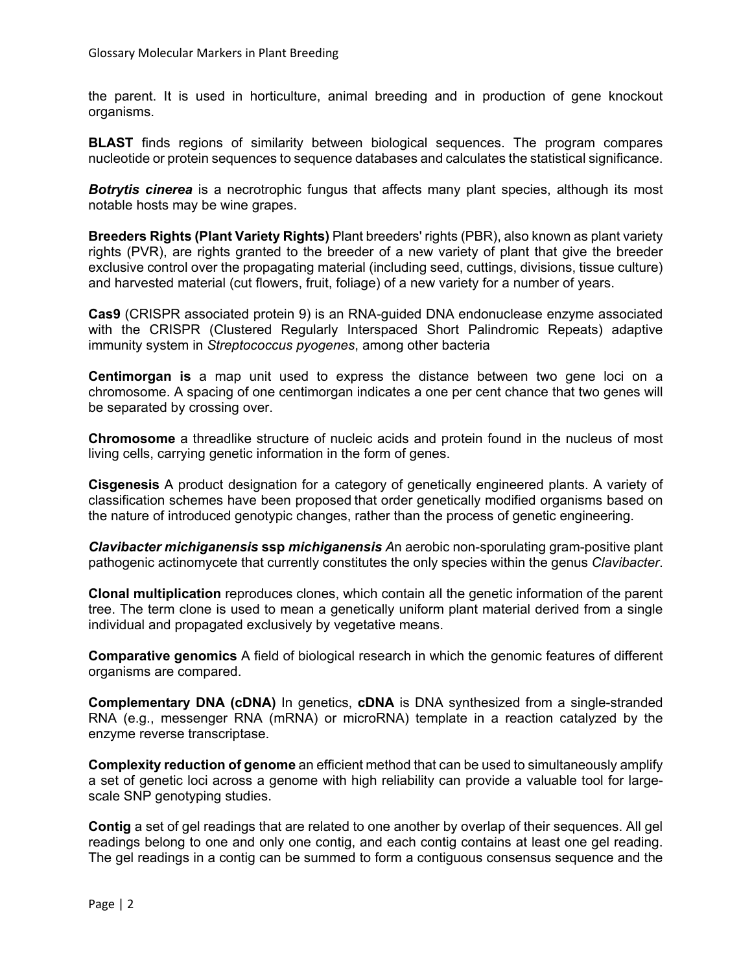the parent. It is used in horticulture, animal breeding and in production of [gene knockout](https://en.wikipedia.org/wiki/Gene_knockout) organisms.

**BLAST** finds regions of similarity between biological sequences. The program compares nucleotide or protein sequences to sequence databases and calculates the statistical significance.

**Botrytis cinerea** is a necrotrophic fungus that affects many plant species, although its most notable hosts may be wine grapes.

**Breeders Rights (Plant Variety Rights)** Plant breeders' rights (PBR), also known as plant variety rights (PVR), are rights granted to the [breeder](https://en.wikipedia.org/wiki/Plant_breeding) of a new [variety](https://en.wikipedia.org/wiki/Plant_variety_(law)) of plant that give the breeder [exclusive control](https://en.wikipedia.org/wiki/Exclusive_right) over the propagating material (including [seed,](https://en.wikipedia.org/wiki/Seed) cuttings, divisions, tissue culture) and harvested material (cut flowers, fruit, foliage) of a new variety for a number of years.

**Cas9** (CRISPR associated protein 9) is an [RNA-](https://en.wikipedia.org/wiki/RNA)guided [DNA](https://en.wikipedia.org/wiki/DNA) [endonuclease](https://en.wikipedia.org/wiki/Endonuclease) [enzyme](https://en.wikipedia.org/wiki/Enzyme) associated with the [CRISPR](https://en.wikipedia.org/wiki/CRISPR) (Clustered Regularly Interspaced Short Palindromic Repeats) adaptive immunity system in *[Streptococcus pyogenes](https://en.wikipedia.org/wiki/Streptococcus_pyogenes)*, among other bacteria

**Centimorgan is** a map unit used to express the distance between two gene loci on a chromosome. A spacing of one centimorgan indicates a one per cent chance that two genes will be separated by crossing over.

**Chromosome** a threadlike structure of nucleic acids and protein found in the nucleus of most living cells, carrying genetic information in the form of genes.

**Cisgenesis** A product designation for a category of [genetically engineered](https://en.wikipedia.org/wiki/Genetic_engineering) plants. A variety of [classification schemes](https://en.wikipedia.org/wiki/Classification_scheme) have been proposed that order [genetically modified organisms](https://en.wikipedia.org/wiki/Genetically_modified_organism) based on the nature of introduced genotypic changes, rather than the process of genetic engineering.

*Clavibacter michiganensis* **ssp** *michiganensis A*n [aerobic](https://en.wikipedia.org/wiki/Aerobic_organism) non-sporulating [gram-positive](https://en.wikipedia.org/wiki/Gram-positive_bacteria) [plant](https://en.wikipedia.org/wiki/Plant_pathology)  [pathogenic](https://en.wikipedia.org/wiki/Plant_pathology) [actinomycete](https://en.wikipedia.org/wiki/Actinomycetales) that currently constitutes the only species within the genus *Clavibacter*.

**Clonal multiplication** reproduces clones, which contain all the genetic information of the parent tree. The term clone is used to mean a genetically uniform plant material derived from a single individual and propagated exclusively by vegetative means.

**Comparative genomics** A field of biological research in which the genomic features of different organisms are compared.

**Complementary DNA (cDNA)** In [genetics,](https://en.wikipedia.org/wiki/Genetics) **cDNA** is [DNA](https://en.wikipedia.org/wiki/DNA) synthesized from a single-stranded RNA (e.g., messenger RNA [\(mRNA\)](https://en.wikipedia.org/wiki/MRNA) or [microRNA\)](https://en.wikipedia.org/wiki/MicroRNA) template in a reaction catalyzed by the enzyme [reverse transcriptase.](https://en.wikipedia.org/wiki/Reverse_transcriptase)

**Complexity reduction of genome** an efficient method that can be used to simultaneously amplify a set of genetic loci across a genome with high reliability can provide a valuable tool for largescale SNP genotyping studies.

**Contig** a set of gel readings that are related to one another by overlap of their sequences. All gel readings belong to one and only one contig, and each contig contains at least one gel reading. The gel readings in a contig can be summed to form a contiguous consensus sequence and the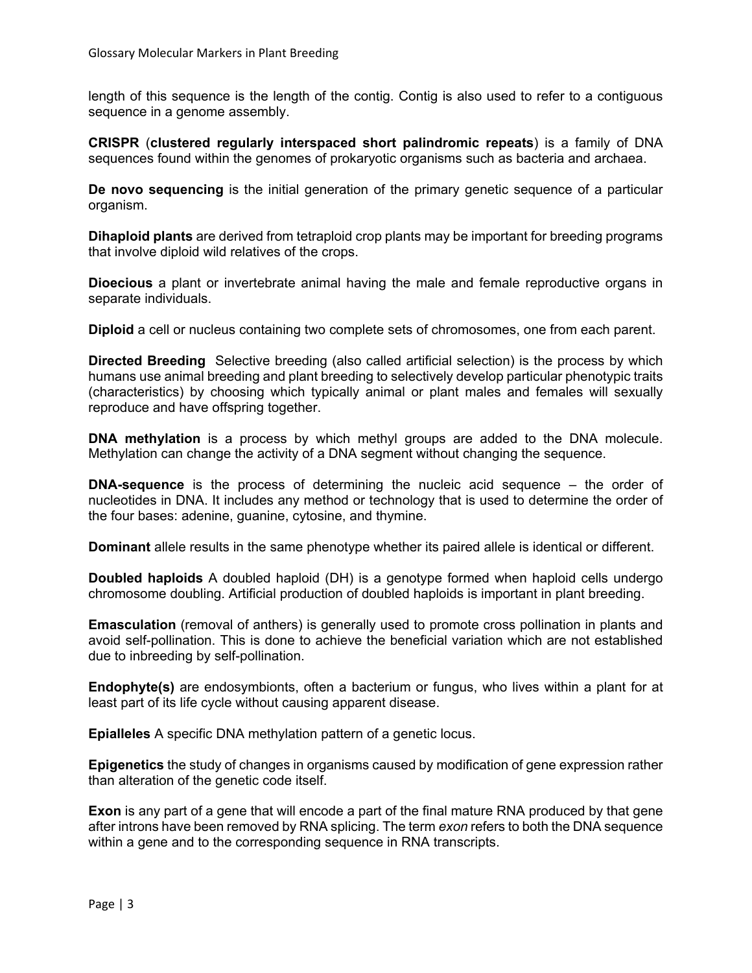length of this sequence is the length of the contig. Contig is also used to refer to a contiguous sequence in a genome assembly.

**CRISPR** (**clustered regularly interspaced short palindromic repeats**) is a family of [DNA](https://en.wikipedia.org/wiki/DNA) sequences found within the [genomes](https://en.wikipedia.org/wiki/Genome) of [prokaryotic](https://en.wikipedia.org/wiki/Prokaryote) organisms such as bacteria and [archaea.](https://en.wikipedia.org/wiki/Archaea)

**De novo sequencing** is the initial generation of the primary genetic sequence of a particular organism.

**Dihaploid plants** are derived from tetraploid crop plants may be important for breeding programs that involve diploid wild relatives of the crops.

**Dioecious** a plant or invertebrate animal having the male and female reproductive organs in separate individuals.

**Diploid** a cell or nucleus containing two complete sets of chromosomes, one from each parent.

**Directed Breeding** Selective breeding (also called artificial selection) is the process by which humans use animal breeding and plant breeding to selectively develop particular phenotypic traits (characteristics) by choosing which typically animal or plant males and females will sexually reproduce and have offspring together.

**DNA methylation** is a process by which [methyl groups](https://en.wikipedia.org/wiki/Methyl_group) are added to the DNA molecule. Methylation can change the activity of a DNA segment without changing the sequence.

**DNA-sequence** is the process of determining the nucleic acid sequence – the order of nucleotides in DNA. It includes any method or technology that is used to determine the order of the four bases: adenine, guanine, cytosine, and thymine.

**Dominant** allele results in the same phenotype whether its paired allele is identical or different.

**Doubled haploids** A doubled haploid (DH) is a genotype formed when haploid cells undergo chromosome doubling. Artificial production of doubled haploids is important in plant breeding.

**Emasculation** (removal of anthers) is generally used to promote cross pollination in plants and avoid self-pollination. This is done to achieve the beneficial variation which are not established due to inbreeding by self-pollination.

**Endophyte(s)** are [endosymbionts](https://en.wikipedia.org/wiki/Endosymbiont), often a [bacterium](https://en.wikipedia.org/wiki/Bacterium) or [fungus,](https://en.wikipedia.org/wiki/Fungus) who lives within a [plant](https://en.wikipedia.org/wiki/Plant) for at least part of its life cycle without causing apparent disease.

**Epialleles** A specific DNA [methylation](https://en.wiktionary.org/wiki/methylation) pattern of a genetic locus.

**Epigenetics** the study of changes in organisms caused by modification of gene expression rather than alteration of the genetic code itself.

**Exon** is any part of a [gene](https://en.wikipedia.org/wiki/Gene) that will encode a part of the final mature [RNA](https://en.wikipedia.org/wiki/RNA) produced by that gene afte[r introns](https://en.wikipedia.org/wiki/Intron) have been removed by [RNA splicing.](https://en.wikipedia.org/wiki/RNA_splicing) The term *exon* refers to both the DNA sequence within a gene and to the corresponding sequence in RNA transcripts.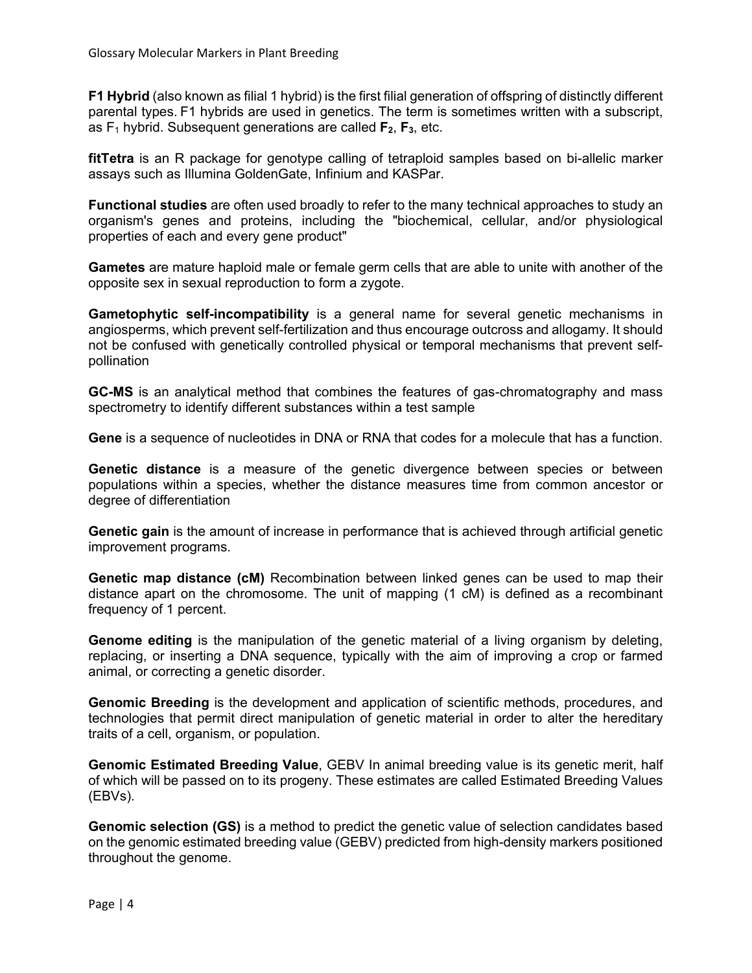**F1 Hybrid** (also known as filial 1 hybrid) is the first filial generation of offspring of distinctly different parental types. F1 hybrids are used in genetics. The term is sometimes written with a subscript, as  $F_1$  hybrid. Subsequent generations are called  $F_2$ ,  $F_3$ , etc.

**fitTetra** is an R package for genotype calling of tetraploid samples based on bi-allelic marker assays such as Illumina GoldenGate, Infinium and KASPar.

**Functional studies** are often used broadly to refer to the many technical approaches to study an organism's genes and proteins, including the "biochemical, cellular, and/or physiological properties of each and every gene product"

**Gametes** are mature haploid male or female germ cells that are able to unite with another of the opposite sex in sexual reproduction to form a zygote.

**Gametophytic self-incompatibility** is a general name for several genetic mechanisms in [angiosperms,](https://en.wikipedia.org/wiki/Angiosperms) which prevent [self-fertilization](https://en.wikipedia.org/wiki/Self-fertilization) and thus encourag[e outcross](https://en.wikipedia.org/wiki/Outcross) and [allogamy.](https://en.wikipedia.org/wiki/Allogamy) It should not be confused with genetically controlled physical or temporal mechanisms that prevent selfpollination

**GC-MS** is an [analytical](https://en.wikipedia.org/wiki/Analytical_chemistry) method that combines the features of [gas-chromatography](https://en.wikipedia.org/wiki/Gas-chromatography) and [mass](https://en.wikipedia.org/wiki/Mass_spectrometry)  [spectrometry](https://en.wikipedia.org/wiki/Mass_spectrometry) to identify different substances within a test sample

**Gene** is a sequence of nucleotides in [DNA](https://en.wikipedia.org/wiki/DNA) or [RNA](https://en.wikipedia.org/wiki/RNA) that [codes](https://en.wikipedia.org/wiki/Genetic_code) for a molecule that has a function.

**Genetic distance** is a measure of the [genetic](https://en.wikipedia.org/wiki/Genetics) divergence between [species](https://en.wikipedia.org/wiki/Species) or between [populations](https://en.wikipedia.org/wiki/Population#genetics) within a species, whether the distance measures time from [common ancestor](https://en.wikipedia.org/wiki/Common_ancestor) or degree of differentiation

**Genetic gain** is the amount of increase in performance that is achieved through artificial genetic improvement programs.

**Genetic map distance (cM)** Recombination between linked genes can be used to map their distance apart on the chromosome. The unit of mapping (1 cM) is defined as a recombinant frequency of 1 percent.

**Genome editing** is the manipulation of the genetic material of a living organism by deleting, replacing, or inserting a DNA sequence, typically with the aim of improving a crop or farmed animal, or correcting a genetic disorder.

**Genomic Breeding** is the development and application of scientific methods, procedures, and technologies that permit direct manipulation of genetic material in order to alter the hereditary traits of a cell, organism, or population.

**Genomic Estimated Breeding Value**, GEBV In animal breeding value is its genetic merit, half of which will be passed on to its progeny. These estimates are called Estimated Breeding Values (EBVs).

**Genomic selection (GS)** is a method to predict the genetic value of selection candidates based on the genomic estimated breeding value (GEBV) predicted from high-density markers positioned throughout the genome.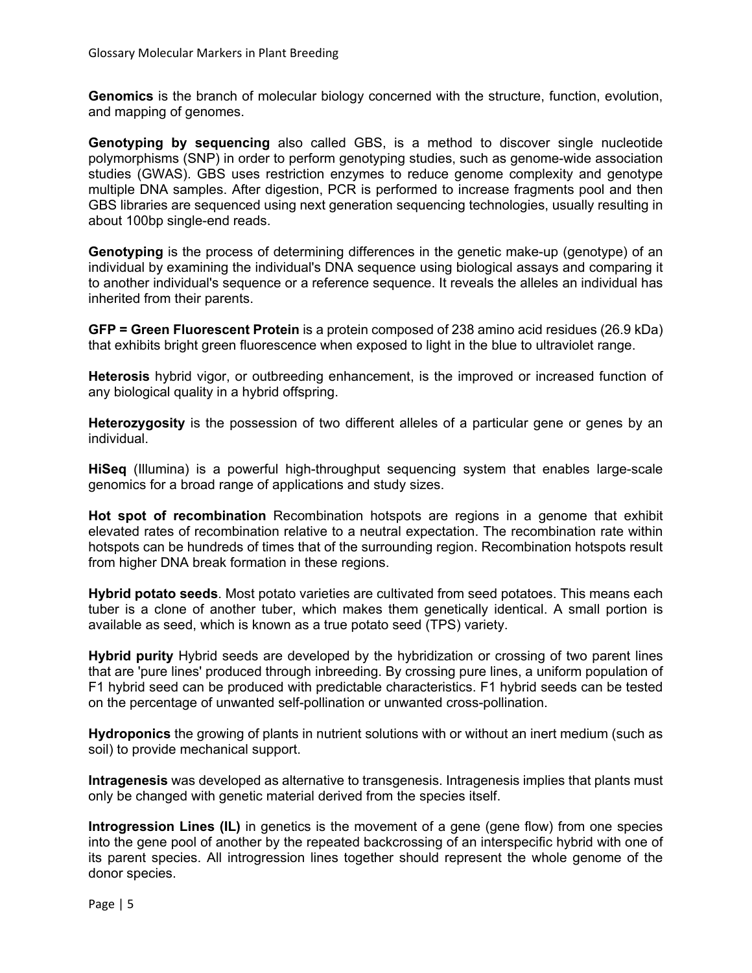**Genomics** is the branch of molecular biology concerned with the structure, function, evolution, and mapping of genomes.

**Genotyping by sequencing** also called GBS, is a method to discover [single nucleotide](https://en.wikipedia.org/wiki/Single-nucleotide_polymorphism)  [polymorphisms](https://en.wikipedia.org/wiki/Single-nucleotide_polymorphism) (SNP) in order to perform [genotyping](https://en.wikipedia.org/wiki/Genotyping) studies, such as genome-wide association studies [\(GWAS\)](https://en.wikipedia.org/wiki/Genome-wide_association_study). GBS uses [restriction enzymes](https://en.wikipedia.org/wiki/Restriction_enzyme) to reduce genome complexity and genotype multiple DNA samples. After digestion, [PCR](https://en.wikipedia.org/wiki/Polymerase_chain_reaction) is performed to increase fragments pool and then GBS libraries are sequenced using next generation sequencing technologies, usually resulting in about 100bp single-end reads.

**Genotyping** is the process of determining differences in the genetic make-up [\(genotype\)](https://en.wikipedia.org/wiki/Genotype) of an individual by examining the individual's [DNA](https://en.wikipedia.org/wiki/DNA) sequence using [biological assays](https://en.wikipedia.org/wiki/Bioassay) and comparing it to another individual's sequence or a reference sequence. It reveals the [alleles](https://en.wikipedia.org/wiki/Allele) an individual has inherited from their parents.

**GFP = Green Fluorescent Protein** is a [protein](https://en.wikipedia.org/wiki/Protein) composed of 238 [amino acid](https://en.wikipedia.org/wiki/Amino_acid) residues (26.9 [kDa\)](https://en.wikipedia.org/wiki/Atomic_mass_unit) that exhibits bright green [fluorescence](https://en.wikipedia.org/wiki/Fluorescence) when exposed to light in the blue to [ultraviolet](https://en.wikipedia.org/wiki/Ultraviolet) range.

**Heterosis** hybrid vigor, or outbreeding enhancement, is the improved or increased function of any biological quality in a [hybrid](https://en.wikipedia.org/wiki/Hybrid_(biology)) offspring.

**Heterozygosity** is the possession of two different alleles of a particular gene or genes by an individual.

**HiSeq** (Illumina) is a powerful high-throughput sequencing system that enables large-scale genomics for a broad range of applications and study sizes.

**Hot spot of recombination** Recombination hotspots are regions in a [genome](https://en.wikipedia.org/wiki/Genome) that exhibit elevated rates of [recombination](https://en.wikipedia.org/wiki/Homologous_recombination) relative to a neutral expectation. The recombination rate within hotspots can be hundreds of times that of the surrounding region. Recombination hotspots result from higher [DNA](https://en.wikipedia.org/wiki/DNA) break formation in these regions.

**Hybrid potato seeds**. Most potato varieties are cultivated from seed potatoes. This means each tuber is a clone of another tuber, which makes them genetically identical. A small portion is available as seed, which is known as a true potato seed (TPS) variety.

**Hybrid purity** Hybrid seeds are developed by the hybridization or crossing of two parent lines that are 'pure lines' produced through inbreeding. By crossing pure lines, a uniform population of F1 hybrid seed can be produced with predictable characteristics. F1 hybrid seeds can be tested on the percentage of unwanted self-pollination or unwanted cross-pollination.

**Hydroponics** the growing of plants in nutrient solutions with or without an inert medium (such as soil) to provide mechanical support.

**Intragenesis** was developed as alternative to transgenesis. Intragenesis implies that plants must only be changed with genetic material derived from the species itself.

**Introgression Lines (IL)** in genetics is the movement of a gene (gene flow) from one species into the gene pool of another by the repeated backcrossing of an interspecific hybrid with one of its parent species. All introgression lines together should represent the whole genome of the donor species.

Page | 5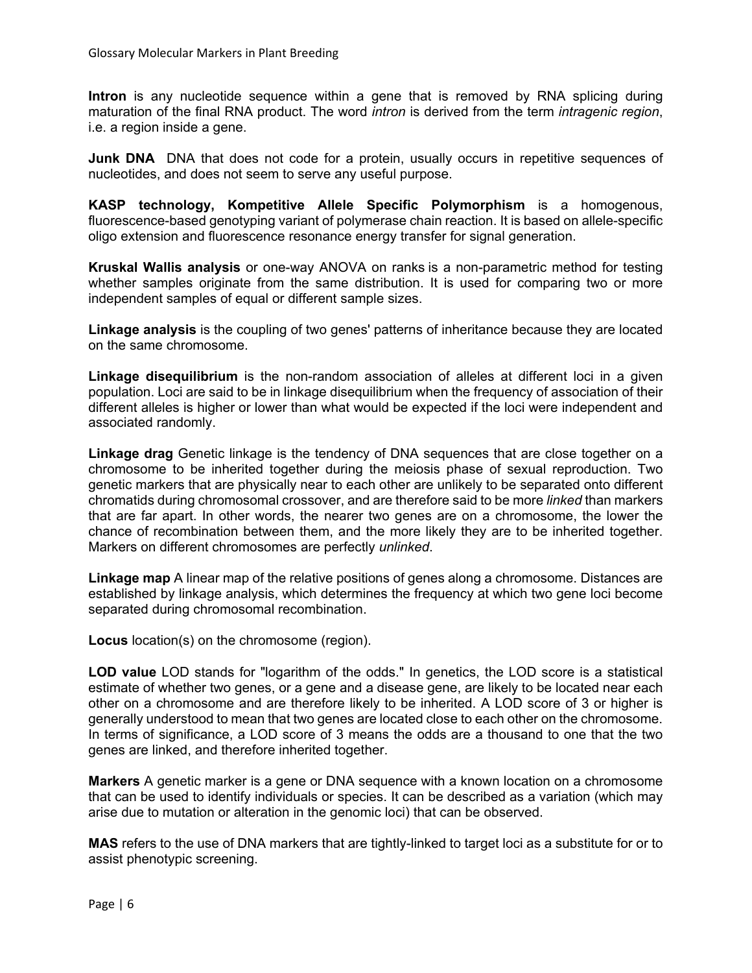**Intron** is any [nucleotide sequence](https://en.wikipedia.org/wiki/Nucleic_acid_sequence) within a [gene](https://en.wikipedia.org/wiki/Gene) that is removed by [RNA splicing](https://en.wikipedia.org/wiki/RNA_splicing) during [maturation](https://en.wikipedia.org/wiki/RNA_processing) of the final RNA product. The word *intron* is derived from the term *intragenic region*, i.e. a region inside a gene.

**Junk DNA** DNA that does not code for a protein, usually occurs in repetitive sequences of nucleotides, and does not seem to serve any useful purpose.

**KASP technology, Kompetitive Allele Specific Polymorphism** is a homogenous, fluorescence-based genotyping variant of polymerase chain reaction. It is based on allele-specific oligo extension and fluorescence resonance energy transfer for signal generation.

**Kruskal Wallis analysis** or one-way ANOVA on ranks is a [non-parametric](https://en.wikipedia.org/wiki/Non-parametric_statistics) method for testing whether samples originate from the same distribution. It is used for comparing two or more independent samples of equal or different sample sizes.

**Linkage analysis** is the coupling of two genes' patterns of inheritance because they are located on the same chromosome.

**Linkage disequilibrium** is the non-random association of [alleles](https://en.wikipedia.org/wiki/Allele) at different [loci](https://en.wikipedia.org/wiki/Locus_(genetics)) in a given population. Loci are said to be in linkage disequilibrium when the frequency of association of their different alleles is higher or lower than what would be expected if the loci were independent and associated randomly.

**Linkage drag** Genetic linkage is the tendency of [DNA sequences](https://en.wikipedia.org/wiki/DNA_sequences) that are close together on a [chromosome](https://en.wikipedia.org/wiki/Chromosome) to be inherited together during the [meiosis](https://en.wikipedia.org/wiki/Meiosis) phase of [sexual reproduction.](https://en.wikipedia.org/wiki/Sexual_reproduction) Two [genetic markers](https://en.wikipedia.org/wiki/Genetic_markers) that are physically near to each other are unlikely to be separated onto different [chromatids](https://en.wikipedia.org/wiki/Chromatids) during [chromosomal crossover,](https://en.wikipedia.org/wiki/Chromosomal_crossover) and are therefore said to be more *linked* than markers that are far apart. In other words, the nearer two [genes](https://en.wikipedia.org/wiki/Genes) are on a chromosome, the lower the chance of [recombination](https://en.wikipedia.org/wiki/Genetic_recombination) between them, and the more likely they are to be inherited together. Markers on different chromosomes are perfectly *unlinked*.

**Linkage map** A linear map of the relative positions of genes along a chromosome. Distances are established by linkage analysis, which determines the frequency at which two gene loci become separated during chromosomal recombination.

**Locus** location(s) on the chromosome (region).

**LOD value** LOD stands for "logarithm of the odds." In genetics, the LOD score is a statistical estimate of whether two genes, or a gene and a disease gene, are likely to be located near each other on a chromosome and are therefore likely to be inherited. A LOD score of 3 or higher is generally understood to mean that two genes are located close to each other on the chromosome. In terms of significance, a LOD score of 3 means the odds are a thousand to one that the two genes are linked, and therefore inherited together.

**Markers** A genetic marker is a gene or DNA sequence with a known location on a chromosome that can be used to identify individuals or species. It can be described as a variation (which may arise due to mutation or alteration in the genomic loci) that can be observed.

**MAS** refers to the use of DNA markers that are tightly-linked to target loci as a substitute for or to assist phenotypic screening.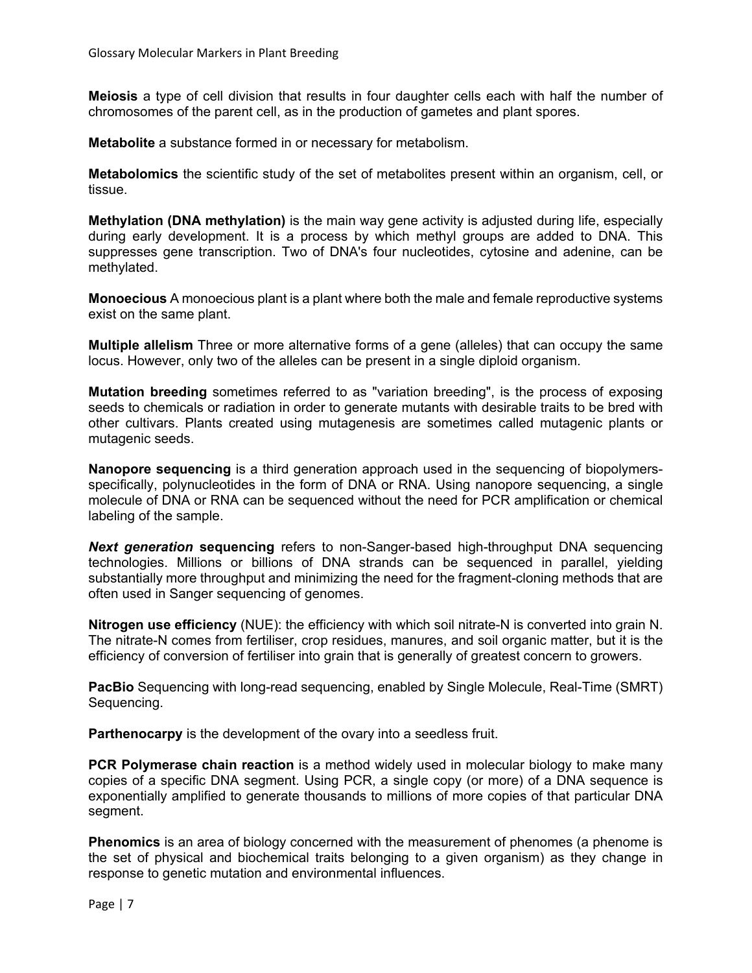**Meiosis** a type of cell division that results in four daughter cells each with half the number of chromosomes of the parent cell, as in the production of gametes and plant spores.

**Metabolite** a substance formed in or necessary for metabolism.

**Metabolomics** the scientific study of the set of metabolites present within an organism, cell, or tissue.

**Methylation (DNA methylation)** is the main way [gene](https://simple.wikipedia.org/wiki/Gene) activity is adjusted during life, especially during early development. It is a process by which [methyl](https://simple.wikipedia.org/wiki/Methyl) groups are added to DNA. This suppresses gene [transcription.](https://simple.wikipedia.org/wiki/Transcription_(genetics)) Two of DNA's four [nucleotides,](https://simple.wikipedia.org/wiki/Nucleotide) [cytosine](https://simple.wikipedia.org/wiki/Cytosine) and [adenine,](https://simple.wikipedia.org/wiki/Adenine) can be methylated.

**Monoecious** A monoecious plant is a plant where both the male and female reproductive systems exist on the same plant.

**Multiple allelism** Three or more alternative forms of a gene (alleles) that can occupy the same locus. However, only two of the alleles can be present in a single diploid organism.

**Mutation breeding** sometimes referred to as "variation breeding", is the process of exposing seeds to chemicals or radiation in order to generate mutants with desirable traits to be bred with other cultivars. Plants created using mutagenesis are sometimes called mutagenic plants or mutagenic seeds.

**Nanopore sequencing** is a third generation approach used in the sequencing of biopolymersspecifically, polynucleotides in the form of DNA or RNA. Using nanopore sequencing, a single molecule of DNA or RNA can be sequenced without the need for PCR amplification or chemical labeling of the sample.

*Next generation* **sequencing** refers to non-Sanger-based high-throughput DNA sequencing technologies. Millions or billions of DNA strands can be sequenced in parallel, yielding substantially more throughput and minimizing the need for the fragment-cloning methods that are often used in Sanger sequencing of genomes.

**Nitrogen use efficiency** (NUE): the efficiency with which soil nitrate-N is converted into grain N. The nitrate-N comes from fertiliser, crop residues, manures, and soil organic matter, but it is the efficiency of conversion of fertiliser into grain that is generally of greatest concern to growers.

**PacBio** Sequencing with long-read sequencing, enabled by Single Molecule, Real-Time (SMRT) Sequencing.

**Parthenocarpy** is the development of the ovary into a seedless fruit.

**PCR Polymerase chain reaction** is a method widely used in [molecular biology](https://en.wikipedia.org/wiki/Molecular_biology) to make many copies of a specific [DNA](https://en.wikipedia.org/wiki/DNA) segment. Using PCR, a single copy (or more) of a [DNA sequence](https://en.wikipedia.org/wiki/DNA_sequence) is exponentially [amplified](https://en.wikipedia.org/wiki/Amplification_(molecular_biology)) to generate thousands to millions of more copies of that particular DNA segment.

**Phenomics** is an area of biology concerned with the measurement of phenomes (a phenome is the set of physical and biochemical traits belonging to a given organism) as they change in response to genetic mutation and environmental influences.

Page | 7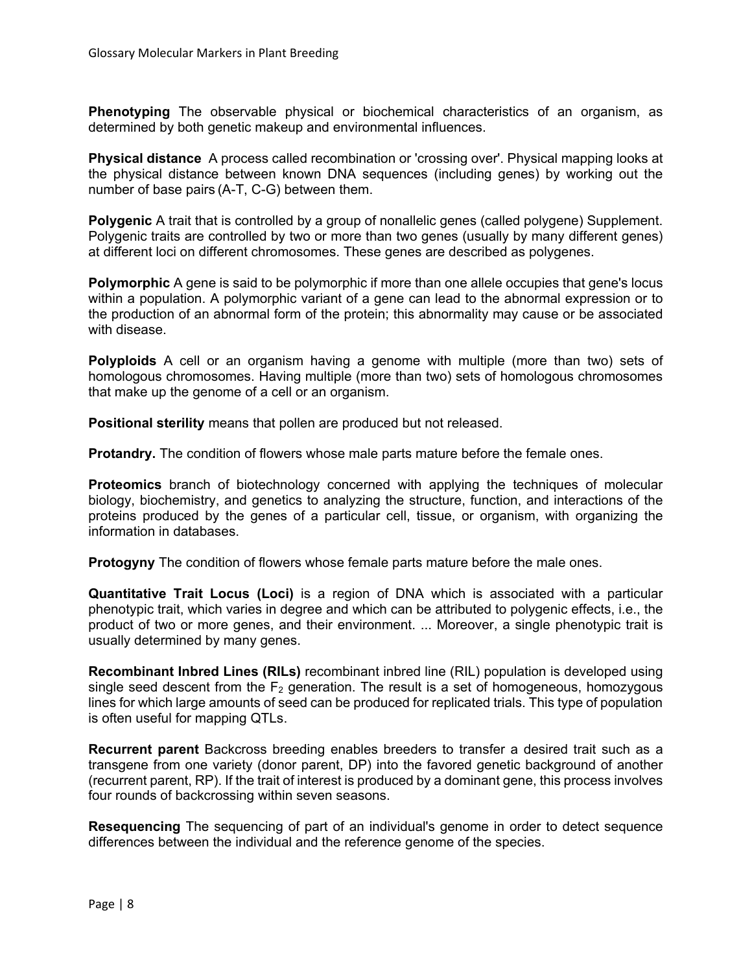**Phenotyping** The observable physical or biochemical characteristics of an organism, as determined by both genetic makeup and environmental influences.

**Physical distance** A process called recombination or 'crossing over'. Physical mapping looks at the physical distance between known DNA sequences (including genes) by working out the number of base pairs (A-T, C-G) between them.

**Polygenic** A trait that is controlled by a group of nonallelic genes (called polygene) Supplement. Polygenic traits are controlled by two or more than two genes (usually by many different genes) at different loci on different chromosomes. These genes are described as polygenes.

**Polymorphic** A gene is said to be polymorphic if more than one allele occupies that gene's locus within a population. A polymorphic variant of a gene can lead to the abnormal expression or to the production of an abnormal form of the protein; this abnormality may cause or be associated with disease.

**Polyploids** A cell or an organism having a genome with multiple (more than two) sets of homologous chromosomes. Having multiple (more than two) sets of homologous chromosomes that make up the genome of a cell or an organism.

**Positional sterility** means that pollen are produced but not released.

**Protandry.** The condition of [flowers](https://en.wiktionary.org/wiki/flower) whose male parts mature before the female ones.

**Proteomics** branch of biotechnology concerned with applying the techniques of molecular biology, biochemistry, and genetics to analyzing the structure, function, and interactions of the proteins produced by the genes of a particular cell, tissue, or organism, with organizing the information in databases.

**Protogyny** The condition of flowers whose female parts mature before the male ones.

**Quantitative Trait Locus (Loci)** is a region of DNA which is associated with a particular phenotypic trait, which varies in degree and which can be attributed to polygenic effects, i.e., the product of two or more genes, and their environment. ... Moreover, a single phenotypic trait is usually determined by many genes.

**Recombinant Inbred Lines (RILs)** recombinant inbred line (RIL) population is developed using single seed descent from the  $F_2$  generation. The result is a set of homogeneous, [homozygous](http://www.extension.org/article/32515#Hom) lines for which large amounts of seed can be produced for replicated trials. This type of population is often useful for mapping [QTLs.](http://www.extension.org/article/32515#QTL)

**Recurrent parent** Backcross breeding enables breeders to transfer a desired trait such as a transgene from one variety (donor parent, DP) into the favored genetic background of another (recurrent parent, RP). If the trait of interest is produced by a dominant gene, this process involves four rounds of backcrossing within seven seasons.

**Resequencing** The [sequencing](https://en.wiktionary.org/wiki/sequencing) of part of an individual's [genome](https://en.wiktionary.org/wiki/genome) in order to detect sequence differences between the individual and the reference genome of the species.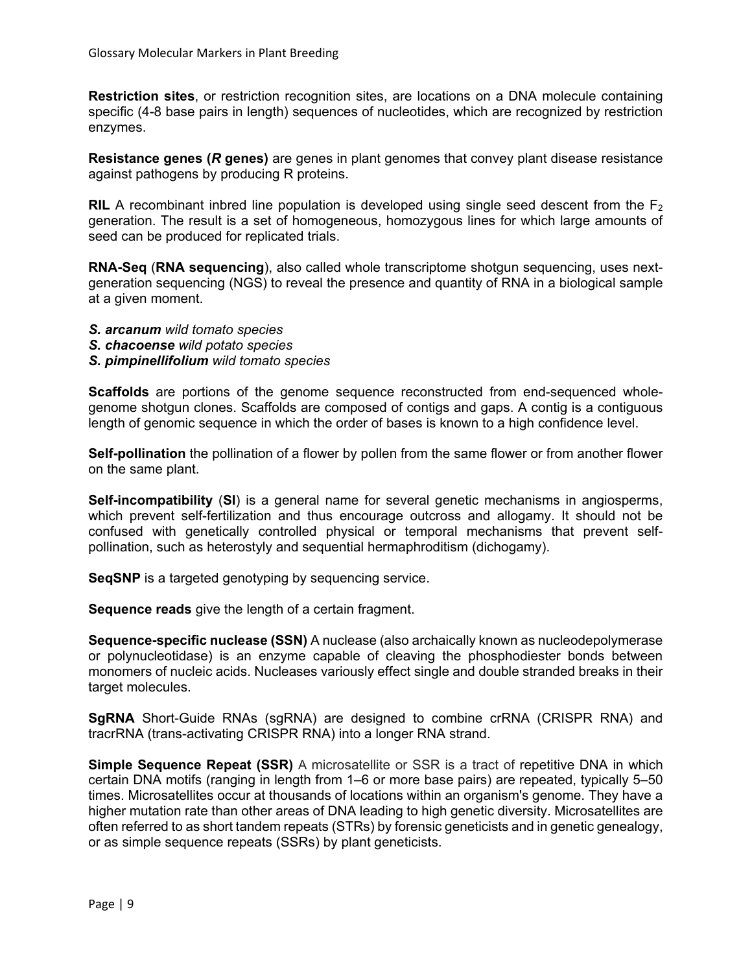**Restriction sites**, or restriction recognition sites, are locations on a DNA molecule containing specific (4-8 base pairs in length) sequences of nucleotides, which are recognized by restriction enzymes.

**Resistance genes (***R* **genes)** are genes in plant genomes that convey plant disease resistance against pathogens by producing R proteins.

**RIL** A recombinant inbred line population is developed using single seed descent from the  $F_2$ generation. The result is a set of homogeneous, homozygous lines for which large amounts of seed can be produced for replicated trials.

**RNA-Seq** (**RNA sequencing**), also called whole transcriptome shotgun sequencing, uses nextgeneration sequencing (NGS) to reveal the presence and quantity of RNA in a biological sample at a given moment.

- *S. arcanum wild tomato species*
- *S. chacoense wild potato species*
- *S. pimpinellifolium wild tomato species*

**Scaffolds** are portions of the genome sequence reconstructed from end-sequenced wholegenome shotgun clones. Scaffolds are composed of contigs and gaps. A contig is a contiguous length of genomic sequence in which the order of bases is known to a high confidence level.

**Self-pollination** the pollination of a flower by pollen from the same flower or from another flower on the same plant.

**Self-incompatibility** (**SI**) is a general name for several genetic mechanisms in angiosperms, which prevent self-fertilization and thus encourage outcross and allogamy. It should not be confused with genetically controlled physical or temporal mechanisms that prevent selfpollination, such as heterostyly and sequential hermaphroditism (dichogamy).

**SeqSNP** is a targeted genotyping by sequencing service.

**Sequence reads** give the length of a certain fragment.

**Sequence-specific nuclease (SSN)** A nuclease (also archaically known as nucleodepolymerase or polynucleotidase) is an enzyme capable of cleaving the phosphodiester bonds between monomers of nucleic acids. Nucleases variously effect single and double stranded breaks in their target molecules.

**SgRNA** Short-Guide RNAs (sgRNA) are designed to combine crRNA (CRISPR RNA) and tracrRNA (trans-activating CRISPR RNA) into a longer RNA strand.

**Simple Sequence Repeat (SSR)** A microsatellite or SSR is a tract of repetitive DNA in which certain DNA motifs (ranging in length from 1–6 or more base pairs) are repeated, typically 5–50 times. Microsatellites occur at thousands of locations within an organism's genome. They have a higher mutation rate than other areas of DNA leading to high genetic diversity. Microsatellites are often referred to as short tandem repeats (STRs) by forensic geneticists and in genetic genealogy, or as simple sequence repeats (SSRs) by plant geneticists.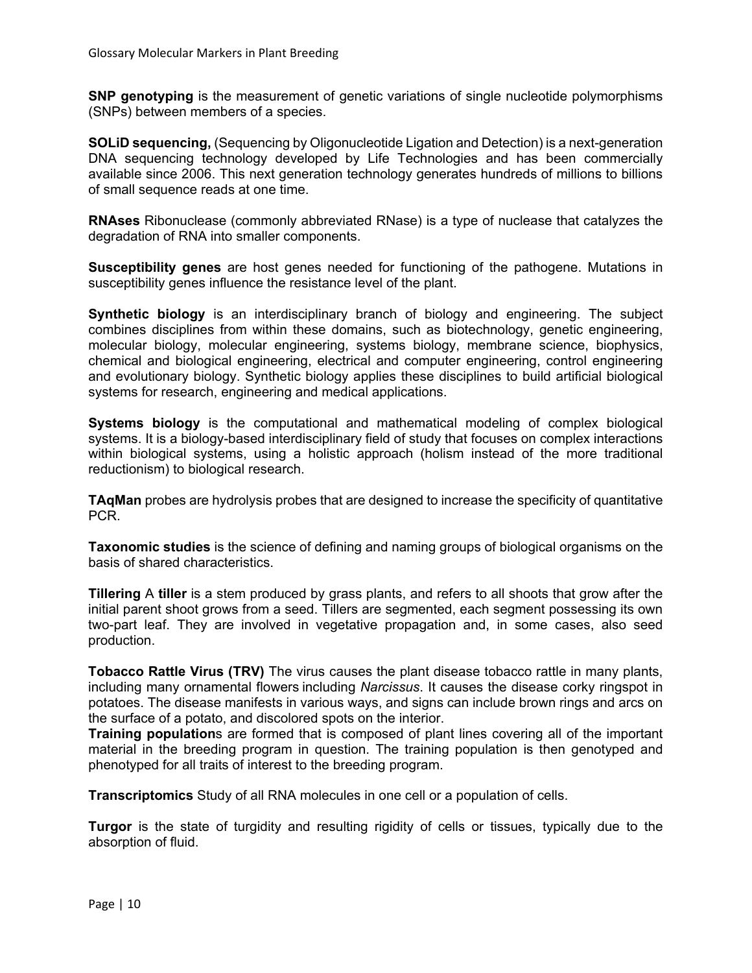**SNP genotyping** is the measurement of genetic variations of single nucleotide polymorphisms (SNPs) between members of a species.

**SOLiD sequencing,** (Sequencing by Oligonucleotide Ligation and Detection) is a next-generation DNA sequencing technology developed by Life Technologies and has been commercially available since 2006. This next generation technology generates hundreds of millions to billions of small sequence reads at one time.

**RNAses** Ribonuclease (commonly abbreviated RNase) is a type of nuclease that catalyzes the degradation of RNA into smaller components.

**Susceptibility genes** are host genes needed for functioning of the pathogene. Mutations in susceptibility genes influence the resistance level of the plant.

**Synthetic biology** is an interdisciplinary branch of biology and engineering. The subject combines disciplines from within these domains, such as biotechnology, genetic engineering, molecular biology, molecular engineering, systems biology, membrane science, biophysics, chemical and biological engineering, electrical and computer engineering, control engineering and evolutionary biology. Synthetic biology applies these disciplines to build artificial biological systems for research, engineering and medical applications.

**Systems biology** is the computational and mathematical modeling of complex biological systems. It is a biology-based interdisciplinary field of study that focuses on complex interactions within biological systems, using a holistic approach (holism instead of the more traditional reductionism) to biological research.

**TAqMan** probes are hydrolysis probes that are designed to increase the specificity of quantitative PCR.

**Taxonomic studies** is the science of defining and naming groups of biological organisms on the basis of shared characteristics.

**Tillering** A **tiller** is a stem produced by grass plants, and refers to all shoots that grow after the initial parent shoot grows from a seed. Tillers are segmented, each segment possessing its own two-part leaf. They are involved in vegetative propagation and, in some cases, also seed production.

**Tobacco Rattle Virus (TRV)** The virus causes the plant disease tobacco rattle in many plants, including many ornamental flowers including *Narcissus*. It causes the disease corky ringspot in potatoes. The disease manifests in various ways, and signs can include brown rings and arcs on the surface of a potato, and discolored spots on the interior.

**Training population**s are formed that is composed of plant lines covering all of the important material in the breeding program in question. The training population is then genotyped and phenotyped for all traits of interest to the breeding program.

**Transcriptomics** Study of all RNA molecules in one cell or a population of cells.

**Turgor** is the state of turgidity and resulting rigidity of cells or tissues, typically due to the absorption of fluid.